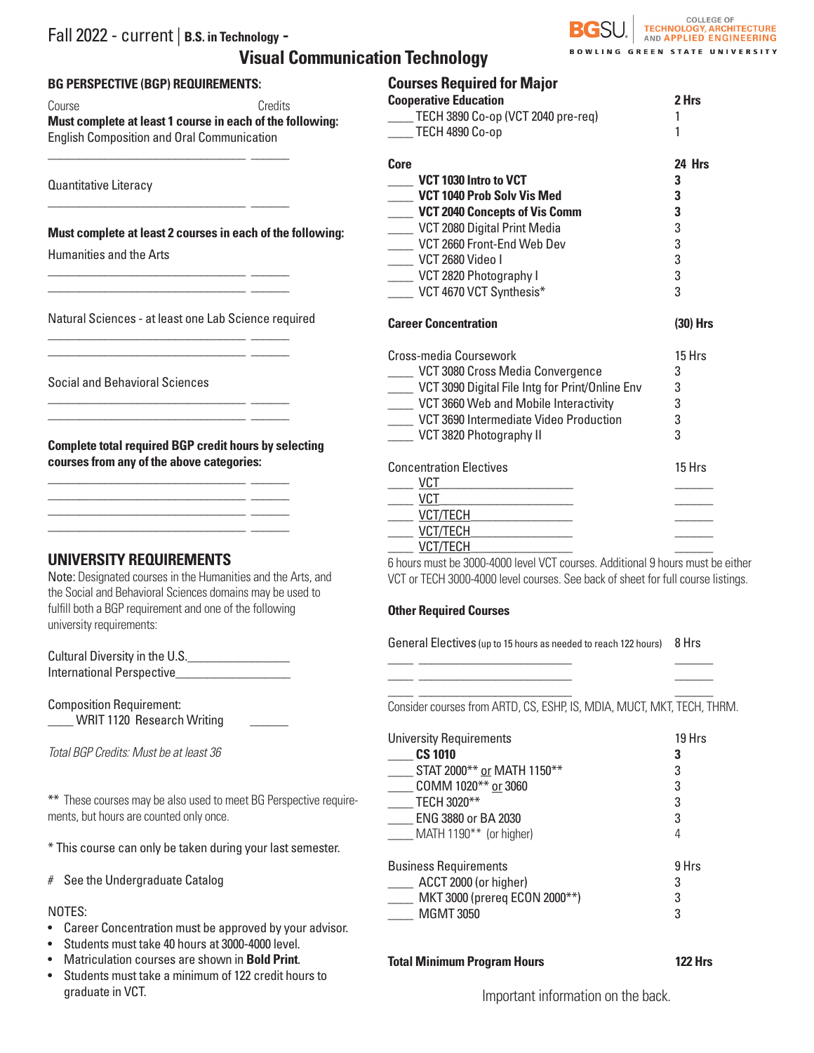## Fall 2022 - current | **B.S. in Technology - Visual Communication Technology**



## **BG PERSPECTIVE (BGP) REQUIREMENTS:**

\_\_\_\_\_\_\_\_\_\_\_\_\_\_\_\_\_\_\_\_\_\_\_\_\_\_\_\_\_\_\_ \_\_\_\_\_\_

\_\_\_\_\_\_\_\_\_\_\_\_\_\_\_\_\_\_\_\_\_\_\_\_\_\_\_\_\_\_\_ \_\_\_\_\_\_

\_\_\_\_\_\_\_\_\_\_\_\_\_\_\_\_\_\_\_\_\_\_\_\_\_\_\_\_\_\_\_ \_\_\_\_\_\_ \_\_\_\_\_\_\_\_\_\_\_\_\_\_\_\_\_\_\_\_\_\_\_\_\_\_\_\_\_\_\_ \_\_\_\_\_\_

\_\_\_\_\_\_\_\_\_\_\_\_\_\_\_\_\_\_\_\_\_\_\_\_\_\_\_\_\_\_\_ \_\_\_\_\_\_ \_\_\_\_\_\_\_\_\_\_\_\_\_\_\_\_\_\_\_\_\_\_\_\_\_\_\_\_\_\_\_ \_\_\_\_\_\_

\_\_\_\_\_\_\_\_\_\_\_\_\_\_\_\_\_\_\_\_\_\_\_\_\_\_\_\_\_\_\_ \_\_\_\_\_\_ \_\_\_\_\_\_\_\_\_\_\_\_\_\_\_\_\_\_\_\_\_\_\_\_\_\_\_\_\_\_\_ \_\_\_\_\_\_

\_\_\_\_\_\_\_\_\_\_\_\_\_\_\_\_\_\_\_\_\_\_\_\_\_\_\_\_\_\_\_ \_\_\_\_\_\_ \_\_\_\_\_\_\_\_\_\_\_\_\_\_\_\_\_\_\_\_\_\_\_\_\_\_\_\_\_\_\_ \_\_\_\_\_\_ \_\_\_\_\_\_\_\_\_\_\_\_\_\_\_\_\_\_\_\_\_\_\_\_\_\_\_\_\_\_\_ \_\_\_\_\_\_ \_\_\_\_\_\_\_\_\_\_\_\_\_\_\_\_\_\_\_\_\_\_\_\_\_\_\_\_\_\_\_ \_\_\_\_\_\_

Course **Course** Credits **Must complete at least 1 course in each of the following:**  English Composition and Oral Communication

Quantitative Literacy

**Must complete at least 2 courses in each of the following:**

Humanities and the Arts

Natural Sciences - at least one Lab Science required

Social and Behavioral Sciences

**Complete total required BGP credit hours by selecting courses from any of the above categories:**

## **UNIVERSITY REQUIREMENTS**

Note: Designated courses in the Humanities and the Arts, and the Social and Behavioral Sciences domains may be used to fulfill both a BGP requirement and one of the following university requirements:

Cultural Diversity in the U.S.\_\_\_\_\_\_\_\_\_\_\_\_\_\_\_\_ International Perspective\_\_\_\_\_\_\_\_\_\_\_\_\_\_\_\_\_\_

Composition Requirement: \_\_\_\_ WRIT 1120 Research Writing \_\_\_\_\_\_

*Total BGP Credits: Must be at least 36*

\*\* These courses may be also used to meet BG Perspective requirements, but hours are counted only once.

\* This course can only be taken during your last semester.

# See the Undergraduate Catalog

### NOTES:

- Career Concentration must be approved by your advisor.
- Students must take 40 hours at 3000-4000 level.
- Matriculation courses are shown in **Bold Print**.
- Students must take a minimum of 122 credit hours to graduate in VCT.

| <b>Courses Required for Major</b>    |          |
|--------------------------------------|----------|
| <b>Cooperative Education</b>         | 2 Hrs    |
| TECH 3890 Co-op (VCT 2040 pre-req)   |          |
| <b>TECH 4890 Co-op</b>               |          |
| Core                                 | 24 Hrs   |
| VCT 1030 Intro to VCT                | 3        |
| VCT 1040 Prob Solv Vis Med           | 3        |
| <b>VCT 2040 Concepts of Vis Comm</b> | 3        |
| VCT 2080 Digital Print Media         | 3        |
| VCT 2660 Front-End Web Dev           | 3        |
| VCT 2680 Video I                     | 3        |
| VCT 2820 Photography I               | 3        |
| VCT 4670 VCT Synthesis*              | 3        |
| <b>Career Concentration</b>          | (30) Hrs |

| Cross-media Coursework                          | 15 Hrs |  |
|-------------------------------------------------|--------|--|
| VCT 3080 Cross Media Convergence                | 3      |  |
| VCT 3090 Digital File Intg for Print/Online Env | 3      |  |
| VCT 3660 Web and Mobile Interactivity           |        |  |
| VCT 3690 Intermediate Video Production          |        |  |
| VCT 3820 Photography II                         | 3      |  |
| <b>Concentration Electives</b>                  | 15 Hrs |  |
| VCT                                             |        |  |
| VCT                                             |        |  |
| VCT/TECH                                        |        |  |
| VCT/TECH                                        |        |  |
| VCT/TECH                                        |        |  |

6 hours must be 3000-4000 level VCT courses. Additional 9 hours must be either VCT or TECH 3000-4000 level courses. See back of sheet for full course listings.

### **Other Required Courses**

General Electives (up to 15 hours as needed to reach 122 hours) 8 Hrs \_\_\_\_ \_\_\_\_\_\_\_\_\_\_\_\_\_\_\_\_\_\_\_\_\_\_\_\_ \_\_\_\_\_\_

\_\_\_\_ \_\_\_\_\_\_\_\_\_\_\_\_\_\_\_\_\_\_\_\_\_\_\_\_ \_\_\_\_\_\_ \_\_\_\_ \_\_\_\_\_\_\_\_\_\_\_\_\_\_\_\_\_\_\_\_\_\_\_\_ \_\_\_\_\_\_

Consider courses from ARTD, CS, ESHP, IS, MDIA, MUCT, MKT, TECH, THRM.

| <b>University Requirements</b> | 19 Hrs |
|--------------------------------|--------|
| <b>CS 1010</b>                 | 3      |
| STAT 2000** or MATH 1150**     | 3      |
| COMM 1020** or 3060            | 3      |
| TECH 3020**                    | 3      |
| ENG 3880 or BA 2030            | 3      |
| MATH 1190** (or higher)        | 4      |
| <b>Business Requirements</b>   | 9 Hrs  |
| ACCT 2000 (or higher)          | 3      |
| MKT 3000 (prereq ECON 2000**)  | 3      |
| <b>MGMT 3050</b>               | 3      |

**Total Minimum Program Hours 122 Hrs**

Important information on the back.